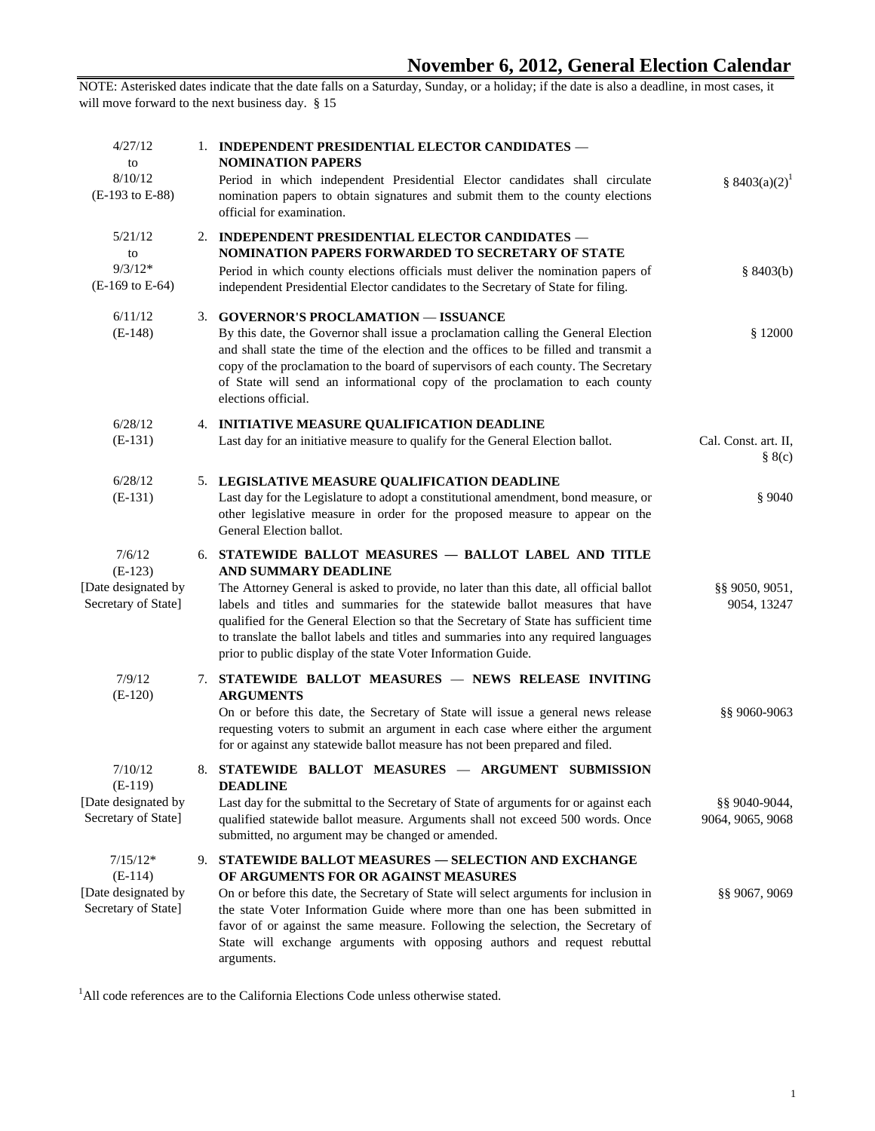| § $8403(a)(2)^1$                  | 1. INDEPENDENT PRESIDENTIAL ELECTOR CANDIDATES -<br><b>NOMINATION PAPERS</b><br>Period in which independent Presidential Elector candidates shall circulate<br>nomination papers to obtain signatures and submit them to the county elections<br>official for examination.                                                                                                                                                                                                                              | 4/27/12<br>to<br>8/10/12<br>(E-193 to E-88)                           |
|-----------------------------------|---------------------------------------------------------------------------------------------------------------------------------------------------------------------------------------------------------------------------------------------------------------------------------------------------------------------------------------------------------------------------------------------------------------------------------------------------------------------------------------------------------|-----------------------------------------------------------------------|
| \$8403(b)                         | 2. INDEPENDENT PRESIDENTIAL ELECTOR CANDIDATES -<br>NOMINATION PAPERS FORWARDED TO SECRETARY OF STATE<br>Period in which county elections officials must deliver the nomination papers of<br>independent Presidential Elector candidates to the Secretary of State for filing.                                                                                                                                                                                                                          | 5/21/12<br>to<br>$9/3/12*$<br>(E-169 to E-64)                         |
| \$12000                           | 3. GOVERNOR'S PROCLAMATION - ISSUANCE<br>By this date, the Governor shall issue a proclamation calling the General Election<br>and shall state the time of the election and the offices to be filled and transmit a<br>copy of the proclamation to the board of supervisors of each county. The Secretary<br>of State will send an informational copy of the proclamation to each county<br>elections official.                                                                                         | 6/11/12<br>$(E-148)$                                                  |
| Cal. Const. art. II,<br>$\S 8(c)$ | 4. INITIATIVE MEASURE QUALIFICATION DEADLINE<br>Last day for an initiative measure to qualify for the General Election ballot.                                                                                                                                                                                                                                                                                                                                                                          | 6/28/12<br>$(E-131)$                                                  |
| \$9040                            | 5. LEGISLATIVE MEASURE QUALIFICATION DEADLINE<br>Last day for the Legislature to adopt a constitutional amendment, bond measure, or<br>other legislative measure in order for the proposed measure to appear on the<br>General Election ballot.                                                                                                                                                                                                                                                         | 6/28/12<br>$(E-131)$                                                  |
| §§ 9050, 9051,<br>9054, 13247     | 6. STATEWIDE BALLOT MEASURES - BALLOT LABEL AND TITLE<br>AND SUMMARY DEADLINE<br>The Attorney General is asked to provide, no later than this date, all official ballot<br>labels and titles and summaries for the statewide ballot measures that have<br>qualified for the General Election so that the Secretary of State has sufficient time<br>to translate the ballot labels and titles and summaries into any required languages<br>prior to public display of the state Voter Information Guide. | 7/6/12<br>$(E-123)$<br>[Date designated by<br>Secretary of State]     |
| §§ 9060-9063                      | 7. STATEWIDE BALLOT MEASURES - NEWS RELEASE INVITING<br><b>ARGUMENTS</b><br>On or before this date, the Secretary of State will issue a general news release<br>requesting voters to submit an argument in each case where either the argument<br>for or against any statewide ballot measure has not been prepared and filed.                                                                                                                                                                          | 7/9/12<br>$(E-120)$                                                   |
| §§ 9040-9044,<br>9064, 9065, 9068 | 8. STATEWIDE BALLOT MEASURES - ARGUMENT SUBMISSION<br><b>DEADLINE</b><br>Last day for the submittal to the Secretary of State of arguments for or against each<br>qualified statewide ballot measure. Arguments shall not exceed 500 words. Once<br>submitted, no argument may be changed or amended.                                                                                                                                                                                                   | 7/10/12<br>$(E-119)$<br>[Date designated by<br>Secretary of State]    |
| §§ 9067, 9069                     | 9. STATEWIDE BALLOT MEASURES - SELECTION AND EXCHANGE<br>OF ARGUMENTS FOR OR AGAINST MEASURES<br>On or before this date, the Secretary of State will select arguments for inclusion in<br>the state Voter Information Guide where more than one has been submitted in<br>favor of or against the same measure. Following the selection, the Secretary of<br>State will exchange arguments with opposing authors and request rebuttal<br>arguments.                                                      | $7/15/12*$<br>$(E-114)$<br>[Date designated by<br>Secretary of State] |

<sup>1</sup>All code references are to the California Elections Code unless otherwise stated.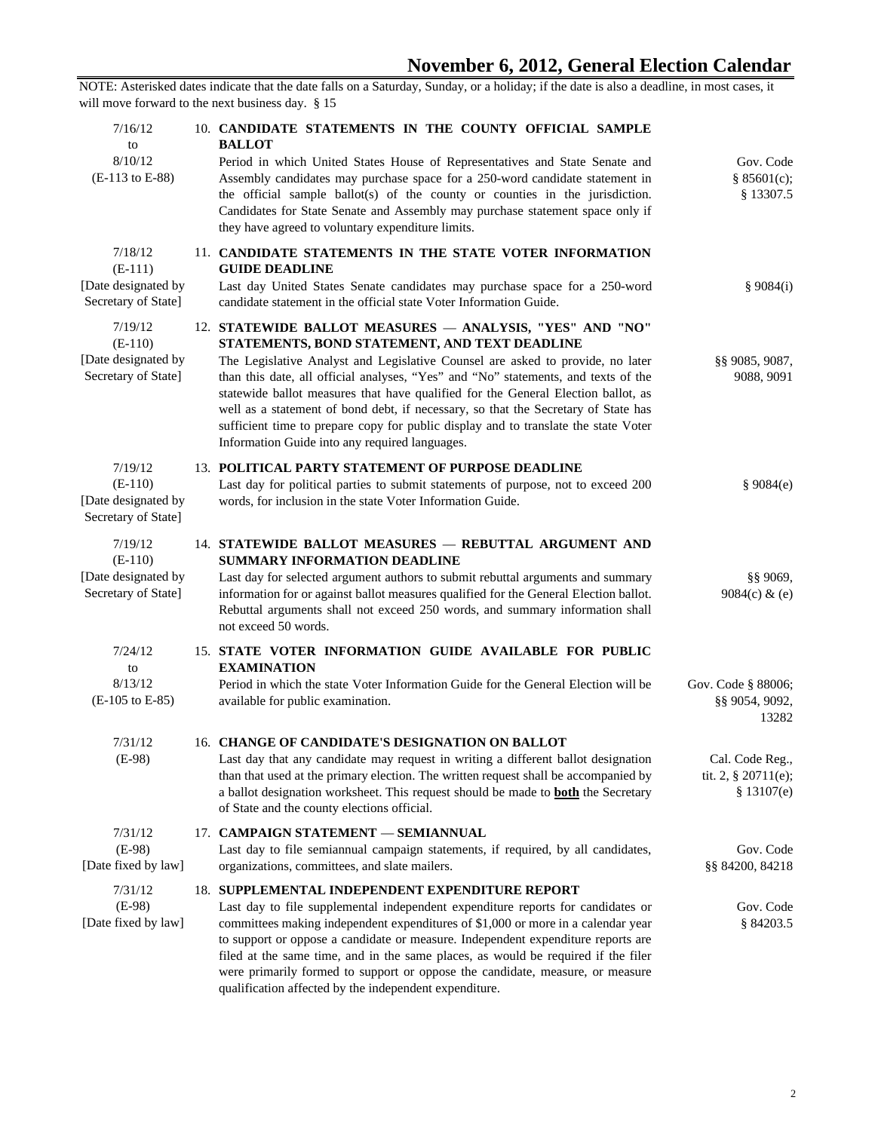| Gov. Code<br>§ $85601(c)$ ;<br>§ 13307.5                 | 10. CANDIDATE STATEMENTS IN THE COUNTY OFFICIAL SAMPLE<br><b>BALLOT</b><br>Period in which United States House of Representatives and State Senate and<br>Assembly candidates may purchase space for a 250-word candidate statement in<br>the official sample ballot(s) of the county or counties in the jurisdiction.<br>Candidates for State Senate and Assembly may purchase statement space only if<br>they have agreed to voluntary expenditure limits.                                                                                                                                          | 7/16/12<br>to<br>8/10/12<br>(E-113 to E-88)                        |
|----------------------------------------------------------|-------------------------------------------------------------------------------------------------------------------------------------------------------------------------------------------------------------------------------------------------------------------------------------------------------------------------------------------------------------------------------------------------------------------------------------------------------------------------------------------------------------------------------------------------------------------------------------------------------|--------------------------------------------------------------------|
| \$9084(i)                                                | 11. CANDIDATE STATEMENTS IN THE STATE VOTER INFORMATION<br><b>GUIDE DEADLINE</b><br>Last day United States Senate candidates may purchase space for a 250-word<br>candidate statement in the official state Voter Information Guide.                                                                                                                                                                                                                                                                                                                                                                  | 7/18/12<br>$(E-111)$<br>[Date designated by<br>Secretary of State] |
| \$\$9085,9087,<br>9088, 9091                             | 12. STATEWIDE BALLOT MEASURES - ANALYSIS, "YES" AND "NO"<br>STATEMENTS, BOND STATEMENT, AND TEXT DEADLINE<br>The Legislative Analyst and Legislative Counsel are asked to provide, no later<br>than this date, all official analyses, "Yes" and "No" statements, and texts of the<br>statewide ballot measures that have qualified for the General Election ballot, as<br>well as a statement of bond debt, if necessary, so that the Secretary of State has<br>sufficient time to prepare copy for public display and to translate the state Voter<br>Information Guide into any required languages. | 7/19/12<br>$(E-110)$<br>[Date designated by<br>Secretary of State] |
| \$9084(e)                                                | 13. POLITICAL PARTY STATEMENT OF PURPOSE DEADLINE<br>Last day for political parties to submit statements of purpose, not to exceed 200<br>words, for inclusion in the state Voter Information Guide.                                                                                                                                                                                                                                                                                                                                                                                                  | 7/19/12<br>$(E-110)$<br>[Date designated by<br>Secretary of State] |
| $§$ § 9069,<br>9084(c) $\&$ (e)                          | 14. STATEWIDE BALLOT MEASURES - REBUTTAL ARGUMENT AND<br><b>SUMMARY INFORMATION DEADLINE</b><br>Last day for selected argument authors to submit rebuttal arguments and summary<br>information for or against ballot measures qualified for the General Election ballot.<br>Rebuttal arguments shall not exceed 250 words, and summary information shall<br>not exceed 50 words.                                                                                                                                                                                                                      | 7/19/12<br>$(E-110)$<br>[Date designated by<br>Secretary of State] |
| Gov. Code § 88006;<br>§§ 9054, 9092,<br>13282            | 15. STATE VOTER INFORMATION GUIDE AVAILABLE FOR PUBLIC<br><b>EXAMINATION</b><br>Period in which the state Voter Information Guide for the General Election will be<br>available for public examination.                                                                                                                                                                                                                                                                                                                                                                                               | 7/24/12<br>to<br>8/13/12<br>(E-105 to E-85)                        |
| Cal. Code Reg.,<br>tit. 2, $\S 20711(e)$ ;<br>\$13107(e) | 16. CHANGE OF CANDIDATE'S DESIGNATION ON BALLOT<br>Last day that any candidate may request in writing a different ballot designation<br>than that used at the primary election. The written request shall be accompanied by<br>a ballot designation worksheet. This request should be made to <b>both</b> the Secretary<br>of State and the county elections official.                                                                                                                                                                                                                                | 7/31/12<br>$(E-98)$                                                |
| Gov. Code<br>§§ 84200, 84218                             | 17. CAMPAIGN STATEMENT - SEMIANNUAL<br>Last day to file semiannual campaign statements, if required, by all candidates,<br>organizations, committees, and slate mailers.                                                                                                                                                                                                                                                                                                                                                                                                                              | 7/31/12<br>$(E-98)$<br>[Date fixed by law]                         |
| Gov. Code<br>§ 84203.5                                   | 18. SUPPLEMENTAL INDEPENDENT EXPENDITURE REPORT<br>Last day to file supplemental independent expenditure reports for candidates or<br>committees making independent expenditures of \$1,000 or more in a calendar year<br>to support or oppose a candidate or measure. Independent expenditure reports are<br>filed at the same time, and in the same places, as would be required if the filer<br>were primarily formed to support or oppose the candidate, measure, or measure<br>qualification affected by the independent expenditure.                                                            | 7/31/12<br>$(E-98)$<br>[Date fixed by law]                         |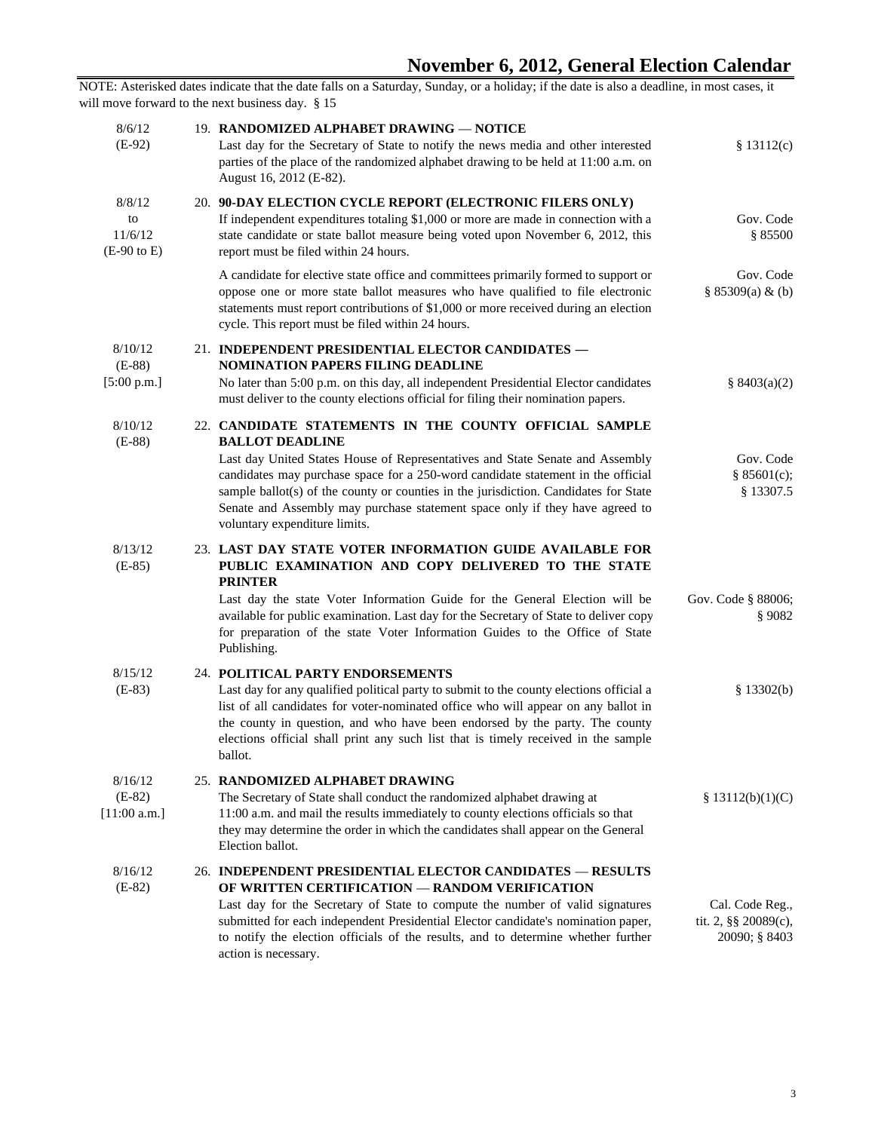| \$13112(c)                                               | 19. RANDOMIZED ALPHABET DRAWING - NOTICE<br>Last day for the Secretary of State to notify the news media and other interested<br>parties of the place of the randomized alphabet drawing to be held at 11:00 a.m. on<br>August 16, 2012 (E-82).                                                                                                                                                                                                                | 8/6/12<br>$(E-92)$                                |
|----------------------------------------------------------|----------------------------------------------------------------------------------------------------------------------------------------------------------------------------------------------------------------------------------------------------------------------------------------------------------------------------------------------------------------------------------------------------------------------------------------------------------------|---------------------------------------------------|
| Gov. Code<br>\$85500                                     | 20. 90-DAY ELECTION CYCLE REPORT (ELECTRONIC FILERS ONLY)<br>If independent expenditures totaling \$1,000 or more are made in connection with a<br>state candidate or state ballot measure being voted upon November 6, 2012, this<br>report must be filed within 24 hours.                                                                                                                                                                                    | 8/8/12<br>to<br>11/6/12<br>$(E-90 \text{ to } E)$ |
| Gov. Code<br>$§ 85309(a) \& (b)$                         | A candidate for elective state office and committees primarily formed to support or<br>oppose one or more state ballot measures who have qualified to file electronic<br>statements must report contributions of \$1,000 or more received during an election<br>cycle. This report must be filed within 24 hours.                                                                                                                                              |                                                   |
| $\frac{8}{9}$ 8403(a)(2)                                 | 21. INDEPENDENT PRESIDENTIAL ELECTOR CANDIDATES -<br><b>NOMINATION PAPERS FILING DEADLINE</b><br>No later than 5:00 p.m. on this day, all independent Presidential Elector candidates<br>must deliver to the county elections official for filing their nomination papers.                                                                                                                                                                                     | 8/10/12<br>$(E-88)$<br>[5:00 p.m.]                |
| Gov. Code<br>§ $85601(c)$ ;<br>\$13307.5                 | 22. CANDIDATE STATEMENTS IN THE COUNTY OFFICIAL SAMPLE<br><b>BALLOT DEADLINE</b><br>Last day United States House of Representatives and State Senate and Assembly<br>candidates may purchase space for a 250-word candidate statement in the official<br>sample ballot(s) of the county or counties in the jurisdiction. Candidates for State<br>Senate and Assembly may purchase statement space only if they have agreed to<br>voluntary expenditure limits. | 8/10/12<br>$(E-88)$                               |
| Gov. Code § 88006;<br>\$9082                             | 23. LAST DAY STATE VOTER INFORMATION GUIDE AVAILABLE FOR<br>PUBLIC EXAMINATION AND COPY DELIVERED TO THE STATE<br><b>PRINTER</b><br>Last day the state Voter Information Guide for the General Election will be<br>available for public examination. Last day for the Secretary of State to deliver copy<br>for preparation of the state Voter Information Guides to the Office of State<br>Publishing.                                                        | 8/13/12<br>$(E-85)$                               |
| \$13302(b)                                               | 24. POLITICAL PARTY ENDORSEMENTS<br>Last day for any qualified political party to submit to the county elections official a<br>list of all candidates for voter-nominated office who will appear on any ballot in<br>the county in question, and who have been endorsed by the party. The county<br>elections official shall print any such list that is timely received in the sample<br>ballot.                                                              | 8/15/12<br>$(E-83)$                               |
| \$ 13112(b)(1)(C)                                        | 25. RANDOMIZED ALPHABET DRAWING<br>The Secretary of State shall conduct the randomized alphabet drawing at<br>11:00 a.m. and mail the results immediately to county elections officials so that<br>they may determine the order in which the candidates shall appear on the General<br>Election ballot.                                                                                                                                                        | 8/16/12<br>$(E-82)$<br>[11:00 a.m.]               |
| Cal. Code Reg.,<br>tit. 2, §§ 20089(c),<br>20090; § 8403 | 26. INDEPENDENT PRESIDENTIAL ELECTOR CANDIDATES - RESULTS<br>OF WRITTEN CERTIFICATION - RANDOM VERIFICATION<br>Last day for the Secretary of State to compute the number of valid signatures<br>submitted for each independent Presidential Elector candidate's nomination paper,<br>to notify the election officials of the results, and to determine whether further<br>action is necessary.                                                                 | 8/16/12<br>$(E-82)$                               |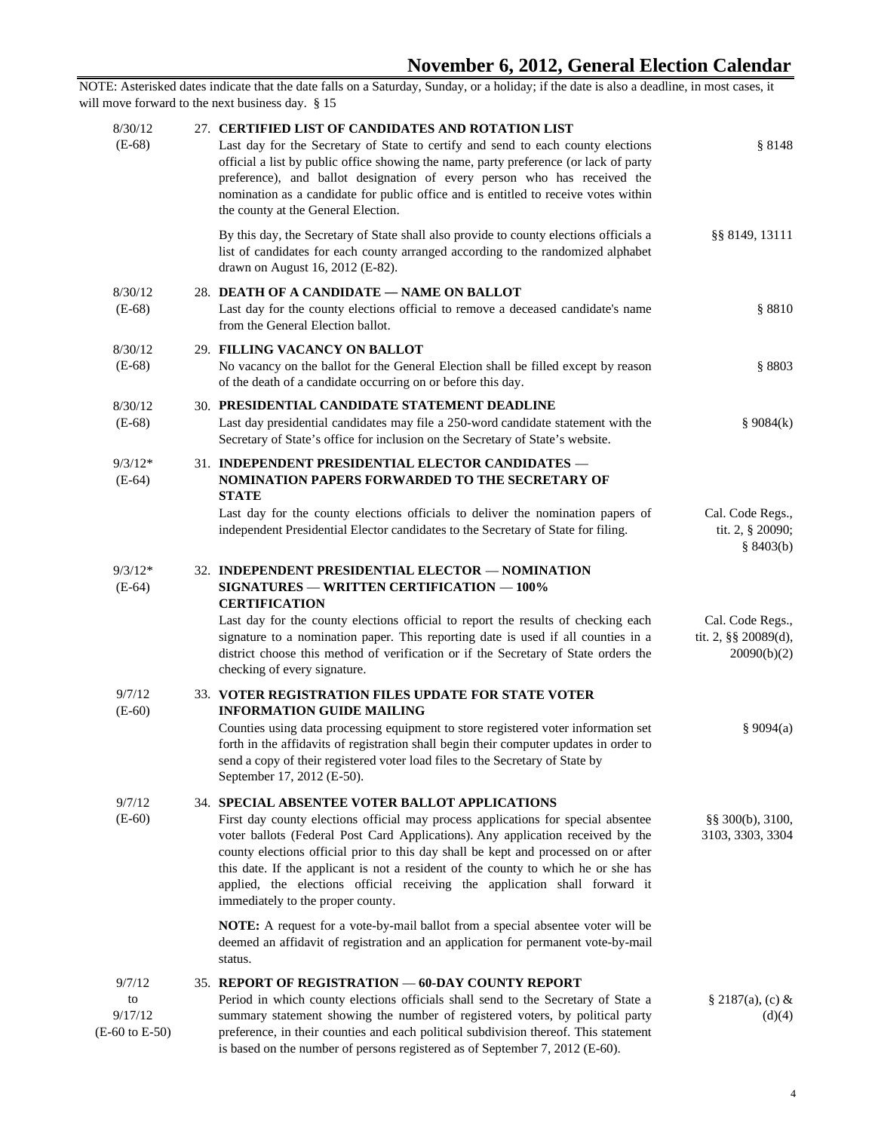NOTE: Asterisked dates indicate that the date falls on a Saturday, Sunday, or a holiday; if the date is also a deadline, in most cases, it will move forward to the next business day. § 15 27. **CERTIFIED LIST OF CANDIDATES AND ROTATION LIST** Last day for the Secretary of State to certify and send to each county elections official a list by public office showing the name, party preference (or lack of party preference), and ballot designation of every person who has received the nomination as a candidate for public office and is entitled to receive votes within the county at the General Election. § 8148 By this day, the Secretary of State shall also provide to county elections officials a list of candidates for each county arranged according to the randomized alphabet drawn on August 16, 2012 (E-82). §§ 8149, 13111 28. **DEATH OF A CANDIDATE** — **NAME ON BALLOT** Last day for the county elections official to remove a deceased candidate's name from the General Election ballot. § 8810 29. **FILLING VACANCY ON BALLOT** No vacancy on the ballot for the General Election shall be filled except by reason of the death of a candidate occurring on or before this day. § 8803 30. **PRESIDENTIAL CANDIDATE STATEMENT DEADLINE** Last day presidential candidates may file a 250-word candidate statement with the Secretary of State's office for inclusion on the Secretary of State's website. § 9084(k) 9/3/12\* (E-64) 31. **INDEPENDENT PRESIDENTIAL ELECTOR CANDIDATES** — **NOMINATION PAPERS FORWARDED TO THE SECRETARY OF STATE** Last day for the county elections officials to deliver the nomination papers of independent Presidential Elector candidates to the Secretary of State for filing. Cal. Code Regs., tit. 2, § 20090; § 8403(b) 9/3/12\* (E-64) 32. **INDEPENDENT PRESIDENTIAL ELECTOR** — **NOMINATION SIGNATURES** — **WRITTEN CERTIFICATION** — **100% CERTIFICATION** Last day for the county elections official to report the results of checking each signature to a nomination paper. This reporting date is used if all counties in a district choose this method of verification or if the Secretary of State orders the checking of every signature. Cal. Code Regs., tit. 2, §§ 20089(d), 20090(b)(2) 9/7/12 (E-60) 33. **VOTER REGISTRATION FILES UPDATE FOR STATE VOTER INFORMATION GUIDE MAILING** Counties using data processing equipment to store registered voter information set forth in the affidavits of registration shall begin their computer updates in order to send a copy of their registered voter load files to the Secretary of State by September 17, 2012 (E-50). § 9094(a) 34. **SPECIAL ABSENTEE VOTER BALLOT APPLICATIONS** First day county elections official may process applications for special absentee voter ballots (Federal Post Card Applications). Any application received by the county elections official prior to this day shall be kept and processed on or after this date. If the applicant is not a resident of the county to which he or she has applied, the elections official receiving the application shall forward it immediately to the proper county. §§ 300(b), 3100, 3103, 3303, 3304 **NOTE:** A request for a vote-by-mail ballot from a special absentee voter will be deemed an affidavit of registration and an application for permanent vote-by-mail status. 35. **REPORT OF REGISTRATION** — **60-DAY COUNTY REPORT** Period in which county elections officials shall send to the Secretary of State a summary statement showing the number of registered voters, by political party preference, in their counties and each political subdivision thereof. This statement  $§ 2187(a), (c) \&$  $(d)(4)$ 8/30/12 (E-68) 8/30/12 (E-68) 8/30/12 (E-68) 9/7/12 (E-60) 9/7/12 to 9/17/12 (E-60 to E-50) 8/30/12 (E-68)

is based on the number of persons registered as of September 7, 2012 (E-60).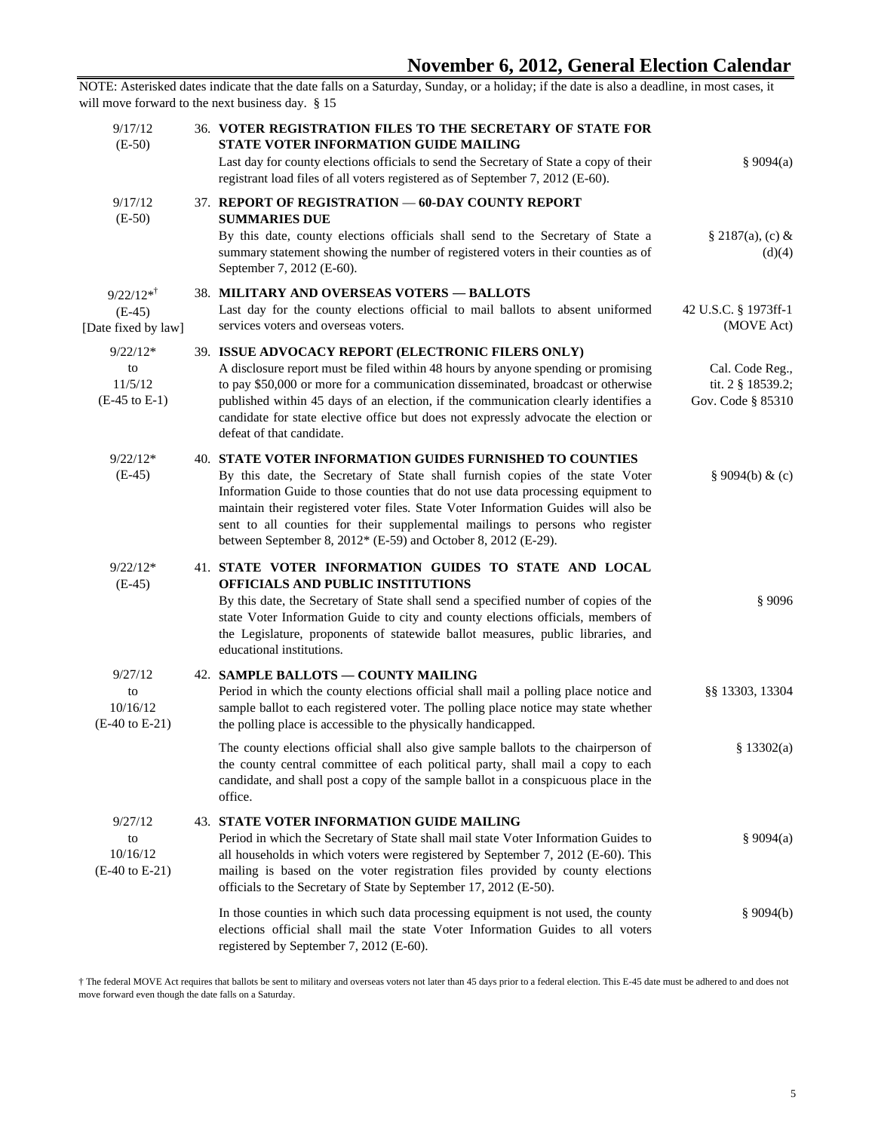| \$9094(a)                                                 | <b>36. VOTER REGISTRATION FILES TO THE SECRETARY OF STATE FOR</b><br><b>STATE VOTER INFORMATION GUIDE MAILING</b><br>Last day for county elections officials to send the Secretary of State a copy of their<br>registrant load files of all voters registered as of September 7, 2012 (E-60).                                                                                                                                                                              | 9/17/12<br>$(E-50)$                                     |
|-----------------------------------------------------------|----------------------------------------------------------------------------------------------------------------------------------------------------------------------------------------------------------------------------------------------------------------------------------------------------------------------------------------------------------------------------------------------------------------------------------------------------------------------------|---------------------------------------------------------|
| $§ 2187(a), (c) \&$<br>(d)(4)                             | 37. REPORT OF REGISTRATION - 60-DAY COUNTY REPORT<br><b>SUMMARIES DUE</b><br>By this date, county elections officials shall send to the Secretary of State a<br>summary statement showing the number of registered voters in their counties as of<br>September 7, 2012 (E-60).                                                                                                                                                                                             | 9/17/12<br>$(E-50)$                                     |
| 42 U.S.C. § 1973ff-1<br>(MOVE Act)                        | 38. MILITARY AND OVERSEAS VOTERS - BALLOTS<br>Last day for the county elections official to mail ballots to absent uniformed<br>services voters and overseas voters.                                                                                                                                                                                                                                                                                                       | $9/22/12**$<br>$(E-45)$<br>[Date fixed by law]          |
| Cal. Code Reg.,<br>tit. 2 § 18539.2;<br>Gov. Code § 85310 | 39. ISSUE ADVOCACY REPORT (ELECTRONIC FILERS ONLY)<br>A disclosure report must be filed within 48 hours by anyone spending or promising<br>to pay \$50,000 or more for a communication disseminated, broadcast or otherwise<br>published within 45 days of an election, if the communication clearly identifies a<br>candidate for state elective office but does not expressly advocate the election or<br>defeat of that candidate.                                      | $9/22/12*$<br>to<br>11/5/12<br>$(E-45 \text{ to } E-1)$ |
| $§ 9094(b) \& (c)$                                        | <b>40. STATE VOTER INFORMATION GUIDES FURNISHED TO COUNTIES</b><br>By this date, the Secretary of State shall furnish copies of the state Voter<br>Information Guide to those counties that do not use data processing equipment to<br>maintain their registered voter files. State Voter Information Guides will also be<br>sent to all counties for their supplemental mailings to persons who register<br>between September 8, 2012* (E-59) and October 8, 2012 (E-29). | $9/22/12*$<br>$(E-45)$                                  |
| \$9096                                                    | 41. STATE VOTER INFORMATION GUIDES TO STATE AND LOCAL<br>OFFICIALS AND PUBLIC INSTITUTIONS<br>By this date, the Secretary of State shall send a specified number of copies of the<br>state Voter Information Guide to city and county elections officials, members of<br>the Legislature, proponents of statewide ballot measures, public libraries, and<br>educational institutions.                                                                                      | $9/22/12*$<br>$(E-45)$                                  |
| §§ 13303, 13304                                           | 42. SAMPLE BALLOTS - COUNTY MAILING<br>Period in which the county elections official shall mail a polling place notice and<br>sample ballot to each registered voter. The polling place notice may state whether<br>the polling place is accessible to the physically handicapped.                                                                                                                                                                                         | 9/27/12<br>to<br>10/16/12<br>$(E-40 \text{ to } E-21)$  |
| \$13302(a)                                                | The county elections official shall also give sample ballots to the chairperson of<br>the county central committee of each political party, shall mail a copy to each<br>candidate, and shall post a copy of the sample ballot in a conspicuous place in the<br>office.                                                                                                                                                                                                    |                                                         |
| $\frac{8}{9094(a)}$                                       | <b>43. STATE VOTER INFORMATION GUIDE MAILING</b><br>Period in which the Secretary of State shall mail state Voter Information Guides to<br>all households in which voters were registered by September 7, 2012 (E-60). This<br>mailing is based on the voter registration files provided by county elections<br>officials to the Secretary of State by September 17, 2012 (E-50).                                                                                          | 9/27/12<br>to<br>10/16/12<br>$(E-40 \text{ to } E-21)$  |
| \$9094(b)                                                 | In those counties in which such data processing equipment is not used, the county<br>elections official shall mail the state Voter Information Guides to all voters<br>registered by September 7, 2012 (E-60).                                                                                                                                                                                                                                                             |                                                         |

† The federal MOVE Act requires that ballots be sent to military and overseas voters not later than 45 days prior to a federal election. This E-45 date must be adhered to and does not move forward even though the date falls on a Saturday.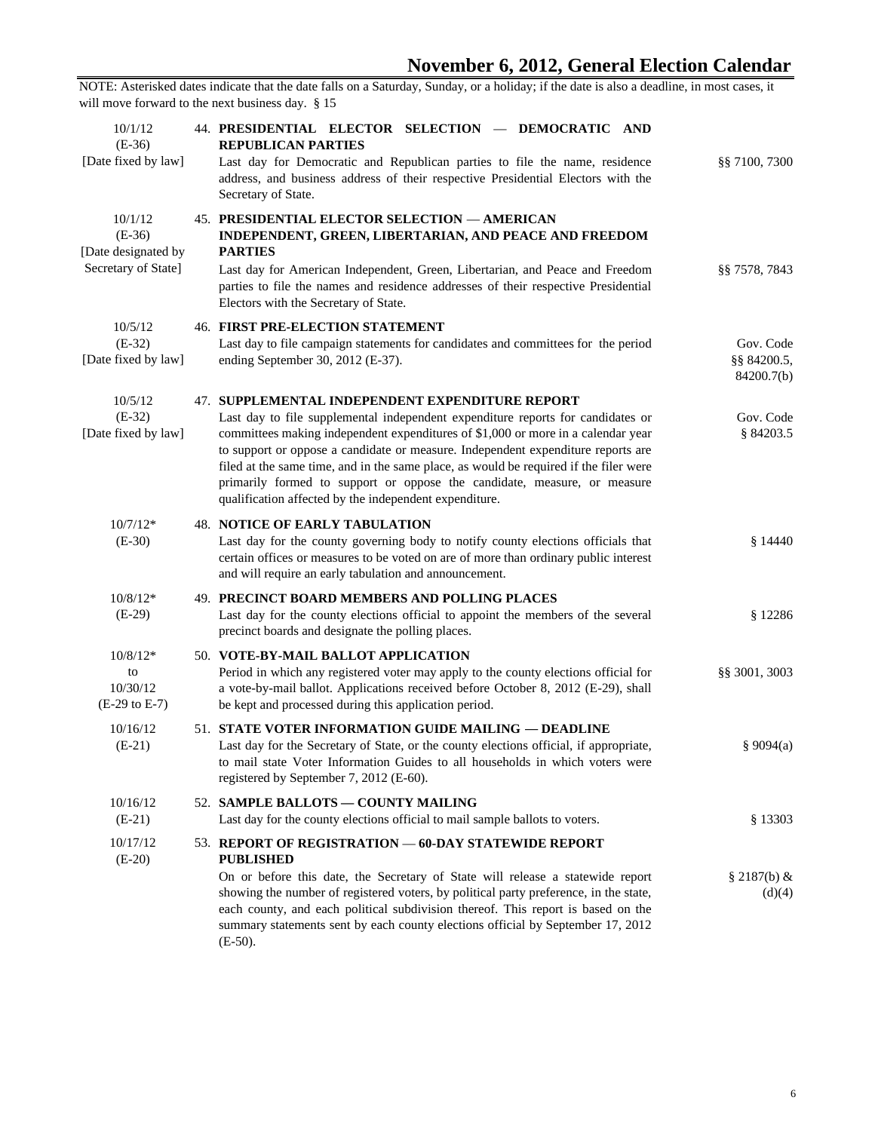| 10/1/12<br>$(E-36)$<br>[Date fixed by law]                        | 44. PRESIDENTIAL ELECTOR SELECTION - DEMOCRATIC AND<br><b>REPUBLICAN PARTIES</b><br>Last day for Democratic and Republican parties to file the name, residence<br>address, and business address of their respective Presidential Electors with the<br>Secretary of State.                                                                                                                                                                                                                                                                 | §§ 7100, 7300                          |
|-------------------------------------------------------------------|-------------------------------------------------------------------------------------------------------------------------------------------------------------------------------------------------------------------------------------------------------------------------------------------------------------------------------------------------------------------------------------------------------------------------------------------------------------------------------------------------------------------------------------------|----------------------------------------|
| 10/1/12<br>$(E-36)$<br>[Date designated by<br>Secretary of State] | <b>45. PRESIDENTIAL ELECTOR SELECTION - AMERICAN</b><br>INDEPENDENT, GREEN, LIBERTARIAN, AND PEACE AND FREEDOM<br><b>PARTIES</b><br>Last day for American Independent, Green, Libertarian, and Peace and Freedom<br>parties to file the names and residence addresses of their respective Presidential<br>Electors with the Secretary of State.                                                                                                                                                                                           | §§ 7578, 7843                          |
| 10/5/12<br>$(E-32)$<br>[Date fixed by law]                        | <b>46. FIRST PRE-ELECTION STATEMENT</b><br>Last day to file campaign statements for candidates and committees for the period<br>ending September 30, 2012 (E-37).                                                                                                                                                                                                                                                                                                                                                                         | Gov. Code<br>§§ 84200.5,<br>84200.7(b) |
| 10/5/12<br>$(E-32)$<br>[Date fixed by law]                        | 47. SUPPLEMENTAL INDEPENDENT EXPENDITURE REPORT<br>Last day to file supplemental independent expenditure reports for candidates or<br>committees making independent expenditures of \$1,000 or more in a calendar year<br>to support or oppose a candidate or measure. Independent expenditure reports are<br>filed at the same time, and in the same place, as would be required if the filer were<br>primarily formed to support or oppose the candidate, measure, or measure<br>qualification affected by the independent expenditure. | Gov. Code<br>§ 84203.5                 |
| $10/7/12*$<br>$(E-30)$                                            | <b>48. NOTICE OF EARLY TABULATION</b><br>Last day for the county governing body to notify county elections officials that<br>certain offices or measures to be voted on are of more than ordinary public interest<br>and will require an early tabulation and announcement.                                                                                                                                                                                                                                                               | \$14440                                |
| $10/8/12*$<br>$(E-29)$                                            | 49. PRECINCT BOARD MEMBERS AND POLLING PLACES<br>Last day for the county elections official to appoint the members of the several<br>precinct boards and designate the polling places.                                                                                                                                                                                                                                                                                                                                                    | \$12286                                |
| $10/8/12*$<br>to<br>10/30/12<br>$(E-29 \text{ to } E-7)$          | 50. VOTE-BY-MAIL BALLOT APPLICATION<br>Period in which any registered voter may apply to the county elections official for<br>a vote-by-mail ballot. Applications received before October 8, 2012 (E-29), shall<br>be kept and processed during this application period.                                                                                                                                                                                                                                                                  | §§ 3001, 3003                          |
| 10/16/12<br>$(E-21)$                                              | 51. STATE VOTER INFORMATION GUIDE MAILING — DEADLINE<br>Last day for the Secretary of State, or the county elections official, if appropriate,<br>to mail state Voter Information Guides to all households in which voters were<br>registered by September 7, 2012 (E-60).                                                                                                                                                                                                                                                                | \$9094(a)                              |
| 10/16/12<br>$(E-21)$                                              | 52. SAMPLE BALLOTS - COUNTY MAILING<br>Last day for the county elections official to mail sample ballots to voters.                                                                                                                                                                                                                                                                                                                                                                                                                       | § 13303                                |
| 10/17/12<br>$(E-20)$                                              | 53. REPORT OF REGISTRATION - 60-DAY STATEWIDE REPORT<br><b>PUBLISHED</b><br>On or before this date, the Secretary of State will release a statewide report<br>showing the number of registered voters, by political party preference, in the state,<br>each county, and each political subdivision thereof. This report is based on the<br>summary statements sent by each county elections official by September 17, 2012<br>$(E-50)$ .                                                                                                  | $§ 2187(b) \&$<br>(d)(4)               |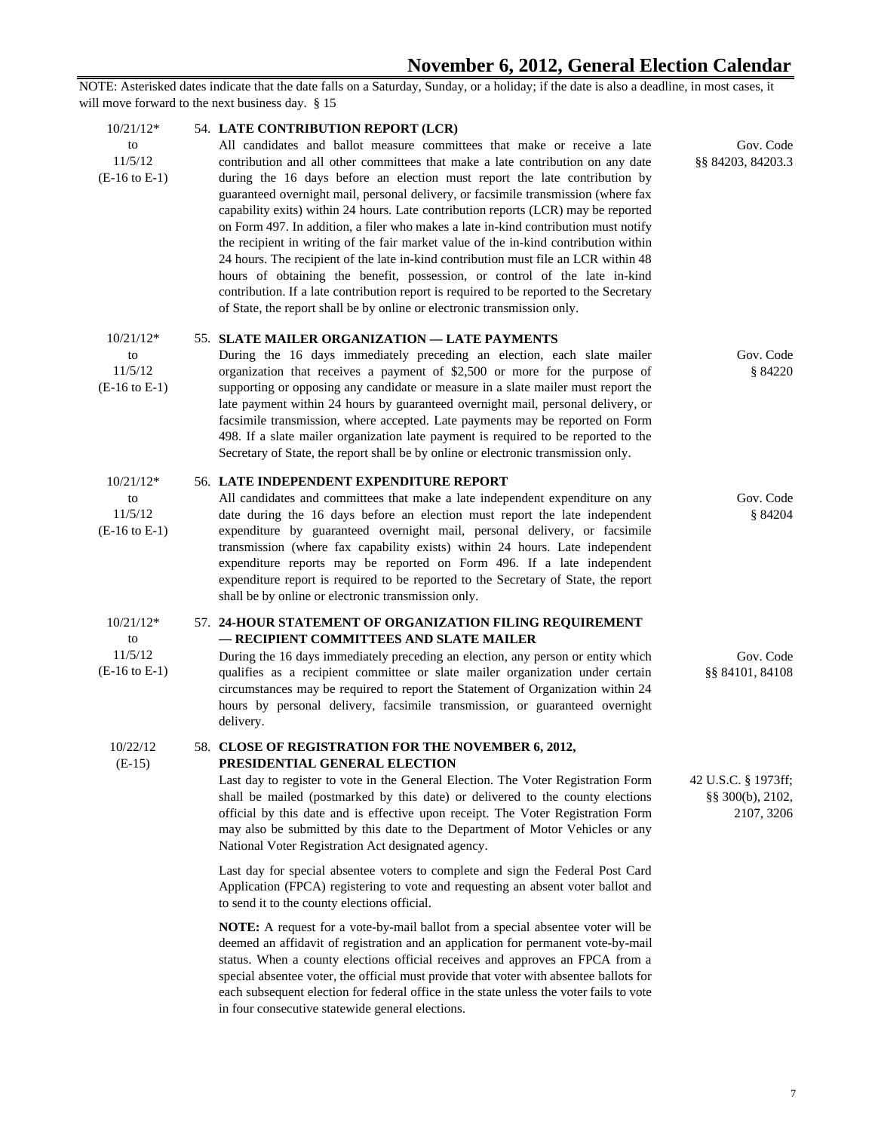| $10/21/12*$<br>to<br>11/5/12<br>$(E-16 \text{ to } E-1)$ | 54. LATE CONTRIBUTION REPORT (LCR)<br>All candidates and ballot measure committees that make or receive a late<br>contribution and all other committees that make a late contribution on any date<br>during the 16 days before an election must report the late contribution by<br>guaranteed overnight mail, personal delivery, or facsimile transmission (where fax<br>capability exits) within 24 hours. Late contribution reports (LCR) may be reported<br>on Form 497. In addition, a filer who makes a late in-kind contribution must notify<br>the recipient in writing of the fair market value of the in-kind contribution within<br>24 hours. The recipient of the late in-kind contribution must file an LCR within 48<br>hours of obtaining the benefit, possession, or control of the late in-kind<br>contribution. If a late contribution report is required to be reported to the Secretary<br>of State, the report shall be by online or electronic transmission only. | Gov. Code<br>§§ 84203, 84203.3                            |
|----------------------------------------------------------|----------------------------------------------------------------------------------------------------------------------------------------------------------------------------------------------------------------------------------------------------------------------------------------------------------------------------------------------------------------------------------------------------------------------------------------------------------------------------------------------------------------------------------------------------------------------------------------------------------------------------------------------------------------------------------------------------------------------------------------------------------------------------------------------------------------------------------------------------------------------------------------------------------------------------------------------------------------------------------------|-----------------------------------------------------------|
| $10/21/12*$<br>to<br>11/5/12<br>$(E-16 \text{ to } E-1)$ | 55. SLATE MAILER ORGANIZATION — LATE PAYMENTS<br>During the 16 days immediately preceding an election, each slate mailer<br>organization that receives a payment of \$2,500 or more for the purpose of<br>supporting or opposing any candidate or measure in a slate mailer must report the<br>late payment within 24 hours by guaranteed overnight mail, personal delivery, or<br>facsimile transmission, where accepted. Late payments may be reported on Form<br>498. If a slate mailer organization late payment is required to be reported to the<br>Secretary of State, the report shall be by online or electronic transmission only.                                                                                                                                                                                                                                                                                                                                           | Gov. Code<br>§ 84220                                      |
| $10/21/12*$<br>to<br>11/5/12<br>$(E-16 \text{ to } E-1)$ | 56. LATE INDEPENDENT EXPENDITURE REPORT<br>All candidates and committees that make a late independent expenditure on any<br>date during the 16 days before an election must report the late independent<br>expenditure by guaranteed overnight mail, personal delivery, or facsimile<br>transmission (where fax capability exists) within 24 hours. Late independent<br>expenditure reports may be reported on Form 496. If a late independent<br>expenditure report is required to be reported to the Secretary of State, the report<br>shall be by online or electronic transmission only.                                                                                                                                                                                                                                                                                                                                                                                           | Gov. Code<br>\$84204                                      |
| $10/21/12*$<br>to<br>11/5/12<br>$(E-16 \text{ to } E-1)$ | 57. 24-HOUR STATEMENT OF ORGANIZATION FILING REQUIREMENT<br>- RECIPIENT COMMITTEES AND SLATE MAILER<br>During the 16 days immediately preceding an election, any person or entity which<br>qualifies as a recipient committee or slate mailer organization under certain<br>circumstances may be required to report the Statement of Organization within 24<br>hours by personal delivery, facsimile transmission, or guaranteed overnight<br>delivery.                                                                                                                                                                                                                                                                                                                                                                                                                                                                                                                                | Gov. Code<br>§§ 84101, 84108                              |
| 10/22/12<br>$(E-15)$                                     | 58. CLOSE OF REGISTRATION FOR THE NOVEMBER 6, 2012,<br>PRESIDENTIAL GENERAL ELECTION<br>Last day to register to vote in the General Election. The Voter Registration Form<br>shall be mailed (postmarked by this date) or delivered to the county elections<br>official by this date and is effective upon receipt. The Voter Registration Form<br>may also be submitted by this date to the Department of Motor Vehicles or any<br>National Voter Registration Act designated agency.                                                                                                                                                                                                                                                                                                                                                                                                                                                                                                 | 42 U.S.C. § 1973ff;<br>$\S$ § 300(b), 2102,<br>2107, 3206 |
|                                                          | Last day for special absentee voters to complete and sign the Federal Post Card<br>Application (FPCA) registering to vote and requesting an absent voter ballot and<br>to send it to the county elections official.                                                                                                                                                                                                                                                                                                                                                                                                                                                                                                                                                                                                                                                                                                                                                                    |                                                           |
|                                                          | NOTE: A request for a vote-by-mail ballot from a special absentee voter will be<br>deemed an affidavit of registration and an application for permanent vote-by-mail<br>status. When a county elections official receives and approves an FPCA from a<br>special absentee voter, the official must provide that voter with absentee ballots for                                                                                                                                                                                                                                                                                                                                                                                                                                                                                                                                                                                                                                        |                                                           |

each subsequent election for federal office in the state unless the voter fails to vote

in four consecutive statewide general elections.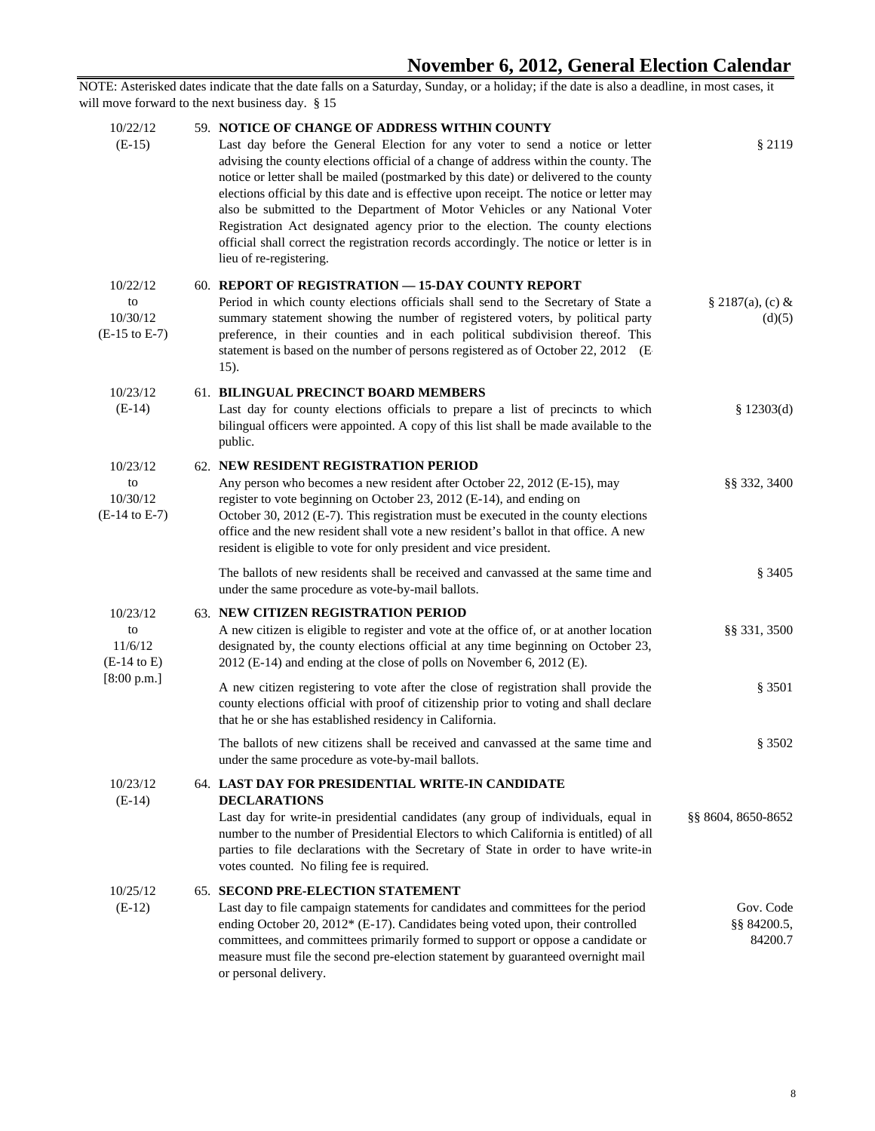| 10/22/12<br>$(E-15)$                                   | 59. NOTICE OF CHANGE OF ADDRESS WITHIN COUNTY<br>Last day before the General Election for any voter to send a notice or letter                                                                                                                                                                                                                                                                                                                                                                                                                                  | § 2119                              |
|--------------------------------------------------------|-----------------------------------------------------------------------------------------------------------------------------------------------------------------------------------------------------------------------------------------------------------------------------------------------------------------------------------------------------------------------------------------------------------------------------------------------------------------------------------------------------------------------------------------------------------------|-------------------------------------|
|                                                        | advising the county elections official of a change of address within the county. The<br>notice or letter shall be mailed (postmarked by this date) or delivered to the county<br>elections official by this date and is effective upon receipt. The notice or letter may<br>also be submitted to the Department of Motor Vehicles or any National Voter<br>Registration Act designated agency prior to the election. The county elections<br>official shall correct the registration records accordingly. The notice or letter is in<br>lieu of re-registering. |                                     |
| 10/22/12<br>to<br>10/30/12<br>$(E-15 \text{ to } E-7)$ | 60. REPORT OF REGISTRATION - 15-DAY COUNTY REPORT<br>Period in which county elections officials shall send to the Secretary of State a<br>summary statement showing the number of registered voters, by political party<br>preference, in their counties and in each political subdivision thereof. This<br>statement is based on the number of persons registered as of October 22, 2012 (E<br>15).                                                                                                                                                            | $§ 2187(a), (c) \&$<br>(d)(5)       |
| 10/23/12<br>$(E-14)$                                   | 61. BILINGUAL PRECINCT BOARD MEMBERS<br>Last day for county elections officials to prepare a list of precincts to which<br>bilingual officers were appointed. A copy of this list shall be made available to the<br>public.                                                                                                                                                                                                                                                                                                                                     | \$12303(d)                          |
| 10/23/12                                               | 62. NEW RESIDENT REGISTRATION PERIOD                                                                                                                                                                                                                                                                                                                                                                                                                                                                                                                            |                                     |
| to<br>10/30/12<br>$(E-14 \text{ to } E-7)$             | Any person who becomes a new resident after October 22, 2012 (E-15), may<br>register to vote beginning on October 23, 2012 (E-14), and ending on<br>October 30, 2012 (E-7). This registration must be executed in the county elections<br>office and the new resident shall vote a new resident's ballot in that office. A new<br>resident is eligible to vote for only president and vice president.                                                                                                                                                           | §§ 332, 3400                        |
|                                                        | The ballots of new residents shall be received and canvassed at the same time and<br>under the same procedure as vote-by-mail ballots.                                                                                                                                                                                                                                                                                                                                                                                                                          | § 3405                              |
| 10/23/12<br>to<br>11/6/12<br>$(E-14 \text{ to } E)$    | 63. NEW CITIZEN REGISTRATION PERIOD<br>A new citizen is eligible to register and vote at the office of, or at another location<br>designated by, the county elections official at any time beginning on October 23,<br>2012 (E-14) and ending at the close of polls on November 6, 2012 (E).                                                                                                                                                                                                                                                                    | §§ 331, 3500                        |
| [8:00 p.m.]                                            | A new citizen registering to vote after the close of registration shall provide the<br>county elections official with proof of citizenship prior to voting and shall declare<br>that he or she has established residency in California.                                                                                                                                                                                                                                                                                                                         | \$3501                              |
|                                                        | The ballots of new citizens shall be received and canvassed at the same time and<br>under the same procedure as vote-by-mail ballots.                                                                                                                                                                                                                                                                                                                                                                                                                           | § 3502                              |
| 10/23/12                                               | 64. LAST DAY FOR PRESIDENTIAL WRITE-IN CANDIDATE                                                                                                                                                                                                                                                                                                                                                                                                                                                                                                                |                                     |
| $(E-14)$                                               | <b>DECLARATIONS</b><br>Last day for write-in presidential candidates (any group of individuals, equal in<br>number to the number of Presidential Electors to which California is entitled) of all<br>parties to file declarations with the Secretary of State in order to have write-in<br>votes counted. No filing fee is required.                                                                                                                                                                                                                            | §§ 8604, 8650-8652                  |
| 10/25/12<br>$(E-12)$                                   | <b>65. SECOND PRE-ELECTION STATEMENT</b><br>Last day to file campaign statements for candidates and committees for the period<br>ending October 20, 2012* (E-17). Candidates being voted upon, their controlled<br>committees, and committees primarily formed to support or oppose a candidate or<br>measure must file the second pre-election statement by guaranteed overnight mail<br>or personal delivery.                                                                                                                                                 | Gov. Code<br>§§ 84200.5,<br>84200.7 |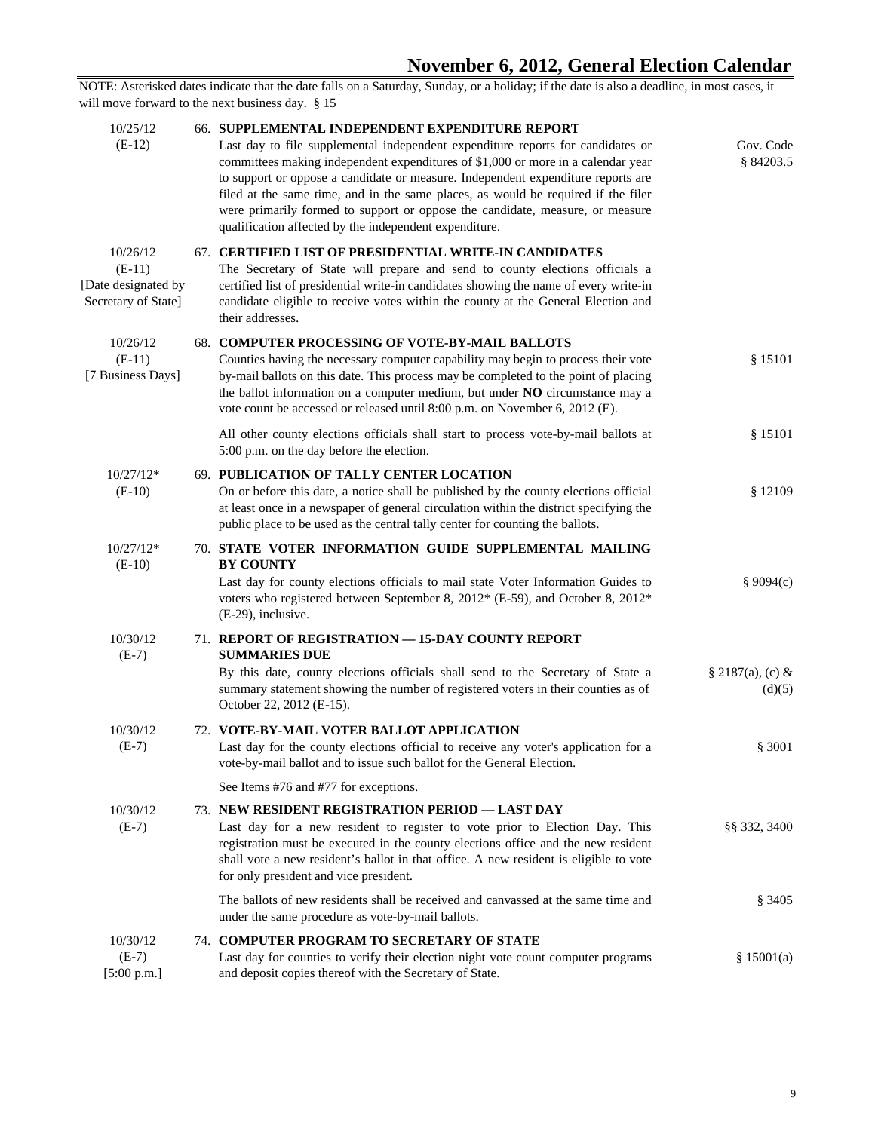| 10/25/12<br>$(E-12)$                                               | 66. SUPPLEMENTAL INDEPENDENT EXPENDITURE REPORT<br>Last day to file supplemental independent expenditure reports for candidates or<br>committees making independent expenditures of \$1,000 or more in a calendar year<br>to support or oppose a candidate or measure. Independent expenditure reports are<br>filed at the same time, and in the same places, as would be required if the filer<br>were primarily formed to support or oppose the candidate, measure, or measure<br>qualification affected by the independent expenditure. | Gov. Code<br>§ 84203.5        |
|--------------------------------------------------------------------|--------------------------------------------------------------------------------------------------------------------------------------------------------------------------------------------------------------------------------------------------------------------------------------------------------------------------------------------------------------------------------------------------------------------------------------------------------------------------------------------------------------------------------------------|-------------------------------|
| 10/26/12<br>$(E-11)$<br>[Date designated by<br>Secretary of State] | 67. CERTIFIED LIST OF PRESIDENTIAL WRITE-IN CANDIDATES<br>The Secretary of State will prepare and send to county elections officials a<br>certified list of presidential write-in candidates showing the name of every write-in<br>candidate eligible to receive votes within the county at the General Election and<br>their addresses.                                                                                                                                                                                                   |                               |
| 10/26/12<br>$(E-11)$<br>[7 Business Days]                          | 68. COMPUTER PROCESSING OF VOTE-BY-MAIL BALLOTS<br>Counties having the necessary computer capability may begin to process their vote<br>by-mail ballots on this date. This process may be completed to the point of placing<br>the ballot information on a computer medium, but under NO circumstance may a<br>vote count be accessed or released until 8:00 p.m. on November 6, 2012 (E).                                                                                                                                                 | \$15101                       |
|                                                                    | All other county elections officials shall start to process vote-by-mail ballots at<br>5:00 p.m. on the day before the election.                                                                                                                                                                                                                                                                                                                                                                                                           | \$15101                       |
| $10/27/12*$<br>$(E-10)$                                            | 69. PUBLICATION OF TALLY CENTER LOCATION<br>On or before this date, a notice shall be published by the county elections official<br>at least once in a newspaper of general circulation within the district specifying the<br>public place to be used as the central tally center for counting the ballots.                                                                                                                                                                                                                                | \$12109                       |
| $10/27/12*$<br>$(E-10)$                                            | 70. STATE VOTER INFORMATION GUIDE SUPPLEMENTAL MAILING<br><b>BY COUNTY</b><br>Last day for county elections officials to mail state Voter Information Guides to<br>voters who registered between September 8, 2012* (E-59), and October 8, 2012*<br>$(E-29)$ , inclusive.                                                                                                                                                                                                                                                                  | \$9094(c)                     |
| 10/30/12<br>$(E-7)$                                                | 71. REPORT OF REGISTRATION - 15-DAY COUNTY REPORT<br><b>SUMMARIES DUE</b><br>By this date, county elections officials shall send to the Secretary of State a<br>summary statement showing the number of registered voters in their counties as of<br>October 22, 2012 (E-15).                                                                                                                                                                                                                                                              | $§ 2187(a), (c) \&$<br>(d)(5) |
| 10/30/12<br>$(E-7)$                                                | 72. VOTE-BY-MAIL VOTER BALLOT APPLICATION<br>Last day for the county elections official to receive any voter's application for a<br>vote-by-mail ballot and to issue such ballot for the General Election.                                                                                                                                                                                                                                                                                                                                 | \$3001                        |
|                                                                    | See Items #76 and #77 for exceptions.                                                                                                                                                                                                                                                                                                                                                                                                                                                                                                      |                               |
| 10/30/12<br>$(E-7)$                                                | 73. NEW RESIDENT REGISTRATION PERIOD - LAST DAY<br>Last day for a new resident to register to vote prior to Election Day. This<br>registration must be executed in the county elections office and the new resident<br>shall vote a new resident's ballot in that office. A new resident is eligible to vote<br>for only president and vice president.                                                                                                                                                                                     | §§ 332, 3400                  |
|                                                                    | The ballots of new residents shall be received and can vassed at the same time and<br>under the same procedure as vote-by-mail ballots.                                                                                                                                                                                                                                                                                                                                                                                                    | \$3405                        |
| 10/30/12<br>$(E-7)$<br>[5:00 p.m.]                                 | 74. COMPUTER PROGRAM TO SECRETARY OF STATE<br>Last day for counties to verify their election night vote count computer programs<br>and deposit copies thereof with the Secretary of State.                                                                                                                                                                                                                                                                                                                                                 | \$15001(a)                    |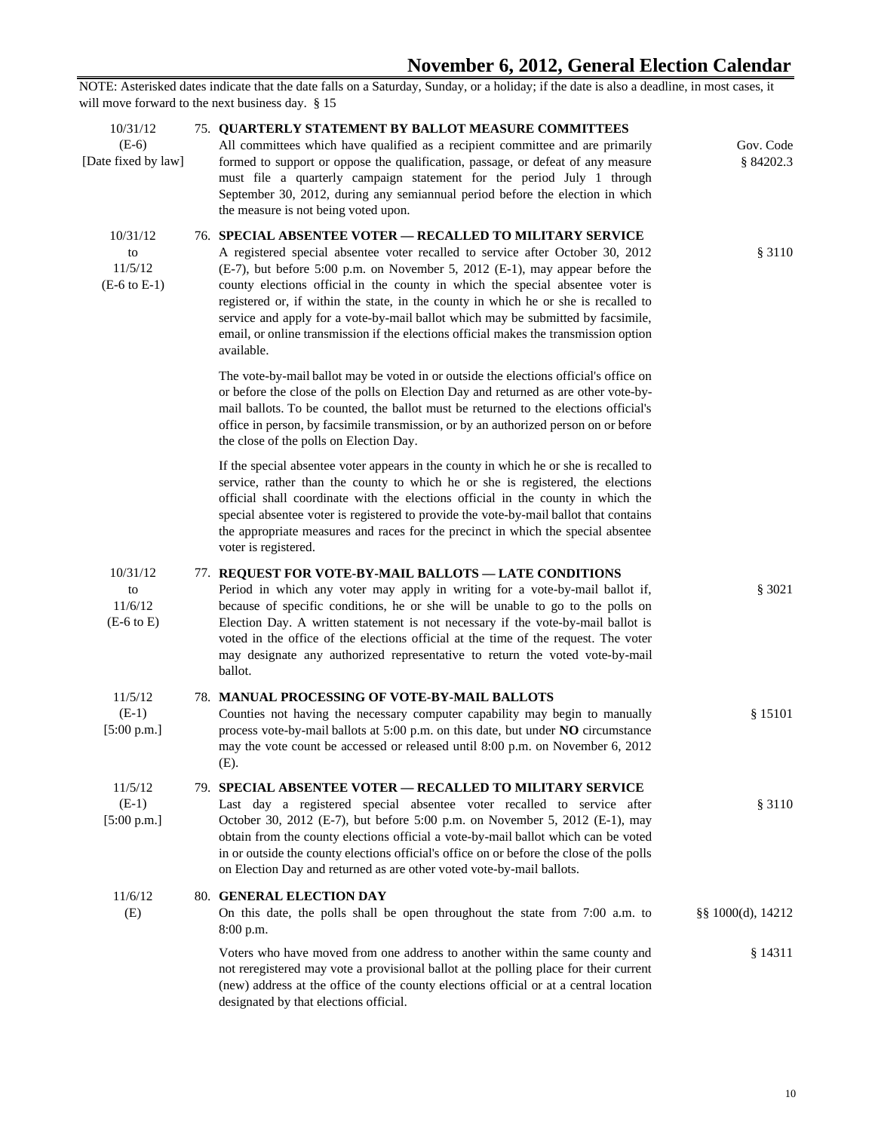## **November 6, 2012, General Election Calendar**

| Gov. Code<br>\$84202.3 | <b>75. QUARTERLY STATEMENT BY BALLOT MEASURE COMMITTEES</b><br>All committees which have qualified as a recipient committee and are primarily<br>formed to support or oppose the qualification, passage, or defeat of any measure<br>must file a quarterly campaign statement for the period July 1 through<br>September 30, 2012, during any semiannual period before the election in which<br>the measure is not being voted upon.                                                                                                                                                                   | 10/31/12<br>$(E-6)$<br>[Date fixed by law]           |
|------------------------|--------------------------------------------------------------------------------------------------------------------------------------------------------------------------------------------------------------------------------------------------------------------------------------------------------------------------------------------------------------------------------------------------------------------------------------------------------------------------------------------------------------------------------------------------------------------------------------------------------|------------------------------------------------------|
| § 3110                 | <b>76. SPECIAL ABSENTEE VOTER - RECALLED TO MILITARY SERVICE</b><br>A registered special absentee voter recalled to service after October 30, 2012<br>(E-7), but before 5:00 p.m. on November 5, 2012 (E-1), may appear before the<br>county elections official in the county in which the special absentee voter is<br>registered or, if within the state, in the county in which he or she is recalled to<br>service and apply for a vote-by-mail ballot which may be submitted by facsimile,<br>email, or online transmission if the elections official makes the transmission option<br>available. | 10/31/12<br>to<br>11/5/12<br>$(E-6 \text{ to } E-1)$ |
|                        | The vote-by-mail ballot may be voted in or outside the elections official's office on<br>or before the close of the polls on Election Day and returned as are other vote-by-<br>mail ballots. To be counted, the ballot must be returned to the elections official's<br>office in person, by facsimile transmission, or by an authorized person on or before<br>the close of the polls on Election Day.                                                                                                                                                                                                |                                                      |
|                        | If the special absentee voter appears in the county in which he or she is recalled to<br>service, rather than the county to which he or she is registered, the elections<br>official shall coordinate with the elections official in the county in which the<br>special absentee voter is registered to provide the vote-by-mail ballot that contains<br>the appropriate measures and races for the precinct in which the special absentee<br>voter is registered.                                                                                                                                     |                                                      |
| \$3021                 | 77. REQUEST FOR VOTE-BY-MAIL BALLOTS - LATE CONDITIONS<br>Period in which any voter may apply in writing for a vote-by-mail ballot if,<br>because of specific conditions, he or she will be unable to go to the polls on<br>Election Day. A written statement is not necessary if the vote-by-mail ballot is<br>voted in the office of the elections official at the time of the request. The voter<br>may designate any authorized representative to return the voted vote-by-mail<br>ballot.                                                                                                         | 10/31/12<br>to<br>11/6/12<br>$(E-6 to E)$            |
| § 15101                | 78. MANUAL PROCESSING OF VOTE-BY-MAIL BALLOTS<br>Counties not having the necessary computer capability may begin to manually<br>process vote-by-mail ballots at 5:00 p.m. on this date, but under NO circumstance<br>may the vote count be accessed or released until 8:00 p.m. on November 6, 2012<br>(E).                                                                                                                                                                                                                                                                                            | 11/5/12<br>$(E-1)$<br>[5:00 p.m.]                    |
| § 3110                 | 79. SPECIAL ABSENTEE VOTER - RECALLED TO MILITARY SERVICE<br>Last day a registered special absentee voter recalled to service after<br>October 30, 2012 (E-7), but before 5:00 p.m. on November 5, 2012 (E-1), may<br>obtain from the county elections official a vote-by-mail ballot which can be voted<br>in or outside the county elections official's office on or before the close of the polls<br>on Election Day and returned as are other voted vote-by-mail ballots.                                                                                                                          | 11/5/12<br>$(E-1)$<br>[5:00 p.m.]                    |
| §§ 1000(d), 14212      | 80. GENERAL ELECTION DAY<br>On this date, the polls shall be open throughout the state from 7:00 a.m. to<br>8:00 p.m.                                                                                                                                                                                                                                                                                                                                                                                                                                                                                  | 11/6/12<br>(E)                                       |
| § 14311                | Voters who have moved from one address to another within the same county and<br>not reregistered may vote a provisional ballot at the polling place for their current<br>(new) address at the office of the county elections official or at a central location<br>designated by that elections official.                                                                                                                                                                                                                                                                                               |                                                      |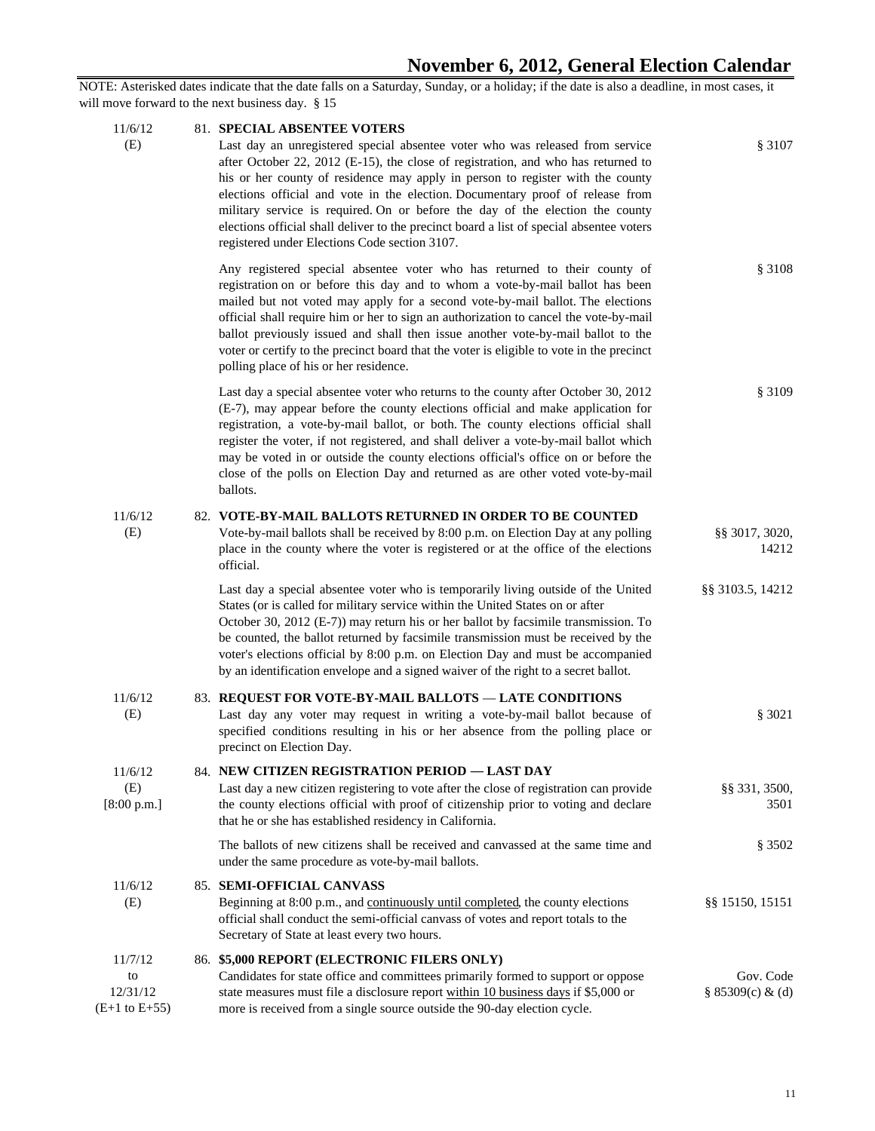## **November 6, 2012, General Election Calendar**

| 11/6/12                                               | 81. SPECIAL ABSENTEE VOTERS                                                                                                                                                                                                                                                                                                                                                                                                                                                                                                                                          |                               |
|-------------------------------------------------------|----------------------------------------------------------------------------------------------------------------------------------------------------------------------------------------------------------------------------------------------------------------------------------------------------------------------------------------------------------------------------------------------------------------------------------------------------------------------------------------------------------------------------------------------------------------------|-------------------------------|
| (E)                                                   | Last day an unregistered special absentee voter who was released from service<br>after October 22, 2012 (E-15), the close of registration, and who has returned to<br>his or her county of residence may apply in person to register with the county<br>elections official and vote in the election. Documentary proof of release from<br>military service is required. On or before the day of the election the county<br>elections official shall deliver to the precinct board a list of special absentee voters<br>registered under Elections Code section 3107. | § 3107                        |
|                                                       | Any registered special absentee voter who has returned to their county of<br>registration on or before this day and to whom a vote-by-mail ballot has been<br>mailed but not voted may apply for a second vote-by-mail ballot. The elections<br>official shall require him or her to sign an authorization to cancel the vote-by-mail<br>ballot previously issued and shall then issue another vote-by-mail ballot to the<br>voter or certify to the precinct board that the voter is eligible to vote in the precinct<br>polling place of his or her residence.     | \$3108                        |
|                                                       | Last day a special absentee voter who returns to the county after October 30, 2012<br>(E-7), may appear before the county elections official and make application for<br>registration, a vote-by-mail ballot, or both. The county elections official shall<br>register the voter, if not registered, and shall deliver a vote-by-mail ballot which<br>may be voted in or outside the county elections official's office on or before the<br>close of the polls on Election Day and returned as are other voted vote-by-mail<br>ballots.                              | \$3109                        |
| 11/6/12<br>(E)                                        | 82. VOTE-BY-MAIL BALLOTS RETURNED IN ORDER TO BE COUNTED<br>Vote-by-mail ballots shall be received by 8:00 p.m. on Election Day at any polling<br>place in the county where the voter is registered or at the office of the elections<br>official.                                                                                                                                                                                                                                                                                                                   | §§ 3017, 3020,<br>14212       |
|                                                       | Last day a special absentee voter who is temporarily living outside of the United<br>States (or is called for military service within the United States on or after<br>October 30, 2012 (E-7)) may return his or her ballot by facsimile transmission. To<br>be counted, the ballot returned by facsimile transmission must be received by the<br>voter's elections official by 8:00 p.m. on Election Day and must be accompanied<br>by an identification envelope and a signed waiver of the right to a secret ballot.                                              | §§ 3103.5, 14212              |
| 11/6/12<br>(E)                                        | 83. REQUEST FOR VOTE-BY-MAIL BALLOTS - LATE CONDITIONS<br>Last day any voter may request in writing a vote-by-mail ballot because of<br>specified conditions resulting in his or her absence from the polling place or<br>precinct on Election Day.                                                                                                                                                                                                                                                                                                                  | § 3021                        |
| 11/6/12<br>(E)<br>[8:00 p.m.]                         | 84. NEW CITIZEN REGISTRATION PERIOD - LAST DAY<br>Last day a new citizen registering to vote after the close of registration can provide<br>the county elections official with proof of citizenship prior to voting and declare<br>that he or she has established residency in California.                                                                                                                                                                                                                                                                           | §§ 331, 3500,<br>3501         |
|                                                       | The ballots of new citizens shall be received and canvassed at the same time and<br>under the same procedure as vote-by-mail ballots.                                                                                                                                                                                                                                                                                                                                                                                                                                | \$3502                        |
| 11/6/12<br>(E)                                        | 85. SEMI-OFFICIAL CANVASS<br>Beginning at 8:00 p.m., and continuously until completed, the county elections<br>official shall conduct the semi-official canvass of votes and report totals to the<br>Secretary of State at least every two hours.                                                                                                                                                                                                                                                                                                                    | §§ 15150, 15151               |
| 11/7/12<br>to<br>12/31/12<br>$(E+1 \text{ to } E+55)$ | 86. \$5,000 REPORT (ELECTRONIC FILERS ONLY)<br>Candidates for state office and committees primarily formed to support or oppose<br>state measures must file a disclosure report within 10 business days if \$5,000 or<br>more is received from a single source outside the 90-day election cycle.                                                                                                                                                                                                                                                                    | Gov. Code<br>§ 85309(c) & (d) |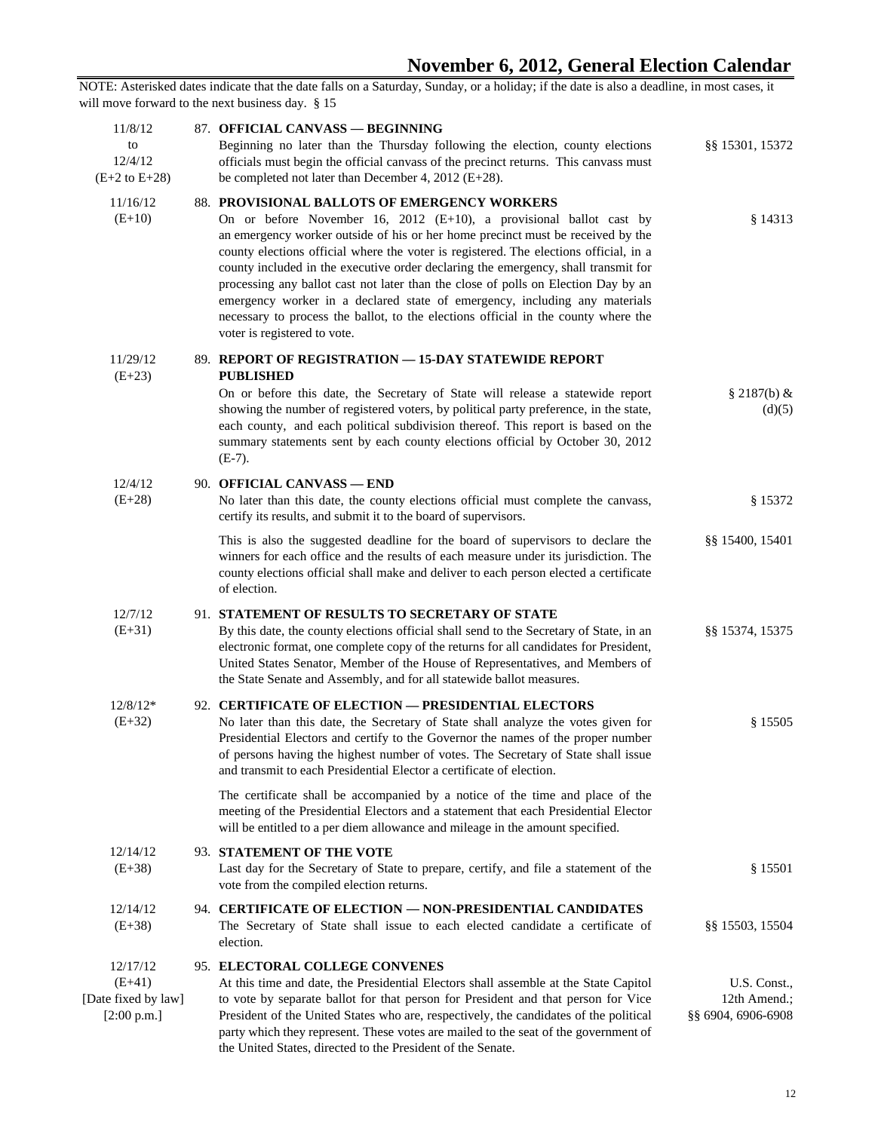| 11/8/12<br>to<br>12/4/12<br>$(E+2 \text{ to } E+28)$       | 87. OFFICIAL CANVASS - BEGINNING<br>Beginning no later than the Thursday following the election, county elections<br>officials must begin the official canvass of the precinct returns. This canvass must<br>be completed not later than December 4, 2012 ( $E+28$ ).                                                                                                                                                                                                                                                                                                                                                                                                              | §§ 15301, 15372                                    |
|------------------------------------------------------------|------------------------------------------------------------------------------------------------------------------------------------------------------------------------------------------------------------------------------------------------------------------------------------------------------------------------------------------------------------------------------------------------------------------------------------------------------------------------------------------------------------------------------------------------------------------------------------------------------------------------------------------------------------------------------------|----------------------------------------------------|
| 11/16/12<br>$(E+10)$                                       | 88. PROVISIONAL BALLOTS OF EMERGENCY WORKERS<br>On or before November 16, 2012 $(E+10)$ , a provisional ballot cast by<br>an emergency worker outside of his or her home precinct must be received by the<br>county elections official where the voter is registered. The elections official, in a<br>county included in the executive order declaring the emergency, shall transmit for<br>processing any ballot cast not later than the close of polls on Election Day by an<br>emergency worker in a declared state of emergency, including any materials<br>necessary to process the ballot, to the elections official in the county where the<br>voter is registered to vote. | \$14313                                            |
| 11/29/12<br>$(E+23)$                                       | 89. REPORT OF REGISTRATION - 15-DAY STATEWIDE REPORT<br><b>PUBLISHED</b><br>On or before this date, the Secretary of State will release a statewide report<br>showing the number of registered voters, by political party preference, in the state,<br>each county, and each political subdivision thereof. This report is based on the<br>summary statements sent by each county elections official by October 30, 2012<br>$(E-7)$ .                                                                                                                                                                                                                                              | \$2187(b) &<br>(d)(5)                              |
| 12/4/12<br>$(E+28)$                                        | 90. OFFICIAL CANVASS - END<br>No later than this date, the county elections official must complete the canvass,<br>certify its results, and submit it to the board of supervisors.                                                                                                                                                                                                                                                                                                                                                                                                                                                                                                 | \$15372                                            |
|                                                            | This is also the suggested deadline for the board of supervisors to declare the<br>winners for each office and the results of each measure under its jurisdiction. The<br>county elections official shall make and deliver to each person elected a certificate<br>of election.                                                                                                                                                                                                                                                                                                                                                                                                    | §§ 15400, 15401                                    |
| 12/7/12<br>$(E+31)$                                        | 91. STATEMENT OF RESULTS TO SECRETARY OF STATE<br>By this date, the county elections official shall send to the Secretary of State, in an<br>electronic format, one complete copy of the returns for all candidates for President,<br>United States Senator, Member of the House of Representatives, and Members of<br>the State Senate and Assembly, and for all statewide ballot measures.                                                                                                                                                                                                                                                                                       | \$§ 15374, 15375                                   |
| $12/8/12*$<br>$(E+32)$                                     | 92. CERTIFICATE OF ELECTION - PRESIDENTIAL ELECTORS<br>No later than this date, the Secretary of State shall analyze the votes given for<br>Presidential Electors and certify to the Governor the names of the proper number<br>of persons having the highest number of votes. The Secretary of State shall issue<br>and transmit to each Presidential Elector a certificate of election.                                                                                                                                                                                                                                                                                          | \$15505                                            |
|                                                            | The certificate shall be accompanied by a notice of the time and place of the<br>meeting of the Presidential Electors and a statement that each Presidential Elector<br>will be entitled to a per diem allowance and mileage in the amount specified.                                                                                                                                                                                                                                                                                                                                                                                                                              |                                                    |
| 12/14/12<br>$(E+38)$                                       | 93. STATEMENT OF THE VOTE<br>Last day for the Secretary of State to prepare, certify, and file a statement of the<br>vote from the compiled election returns.                                                                                                                                                                                                                                                                                                                                                                                                                                                                                                                      | \$15501                                            |
| 12/14/12<br>$(E+38)$                                       | 94. CERTIFICATE OF ELECTION — NON-PRESIDENTIAL CANDIDATES<br>The Secretary of State shall issue to each elected candidate a certificate of<br>election.                                                                                                                                                                                                                                                                                                                                                                                                                                                                                                                            | §§ 15503, 15504                                    |
| 12/17/12<br>$(E+41)$<br>[Date fixed by law]<br>[2:00 p.m.] | 95. ELECTORAL COLLEGE CONVENES<br>At this time and date, the Presidential Electors shall assemble at the State Capitol<br>to vote by separate ballot for that person for President and that person for Vice<br>President of the United States who are, respectively, the candidates of the political<br>party which they represent. These votes are mailed to the seat of the government of<br>the United States, directed to the President of the Senate.                                                                                                                                                                                                                         | U.S. Const.,<br>12th Amend.;<br>§§ 6904, 6906-6908 |